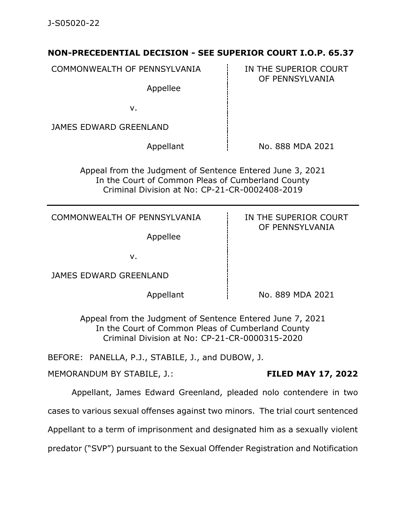## **NON-PRECEDENTIAL DECISION - SEE SUPERIOR COURT I.O.P. 65.37**

COMMONWEALTH OF PENNSYLVANIA **IN THE SUPERIOR COURT** 

Appellee

OF PENNSYLVANIA

v.

JAMES EDWARD GREENLAND

Appellant  $\frac{1}{2}$  No. 888 MDA 2021

Appeal from the Judgment of Sentence Entered June 3, 2021 In the Court of Common Pleas of Cumberland County Criminal Division at No: CP-21-CR-0002408-2019

COMMONWEALTH OF PENNSYLVANIA  $\qquad$  in the superior court

Appellee

## OF PENNSYLVANIA

v.

JAMES EDWARD GREENLAND

Appellant  $\parallel$  No. 889 MDA 2021

Appeal from the Judgment of Sentence Entered June 7, 2021 In the Court of Common Pleas of Cumberland County Criminal Division at No: CP-21-CR-0000315-2020

BEFORE: PANELLA, P.J., STABILE, J., and DUBOW, J.

MEMORANDUM BY STABILE, J.: **FILED MAY 17, 2022**

Appellant, James Edward Greenland, pleaded nolo contendere in two

cases to various sexual offenses against two minors. The trial court sentenced

Appellant to a term of imprisonment and designated him as a sexually violent

predator ("SVP") pursuant to the Sexual Offender Registration and Notification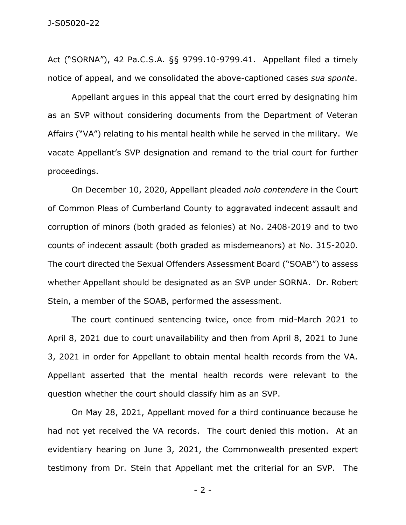Act ("SORNA"), 42 Pa.C.S.A. §§ 9799.10-9799.41. Appellant filed a timely notice of appeal, and we consolidated the above-captioned cases *sua sponte*.

Appellant argues in this appeal that the court erred by designating him as an SVP without considering documents from the Department of Veteran Affairs ("VA") relating to his mental health while he served in the military. We vacate Appellant's SVP designation and remand to the trial court for further proceedings.

On December 10, 2020, Appellant pleaded *nolo contendere* in the Court of Common Pleas of Cumberland County to aggravated indecent assault and corruption of minors (both graded as felonies) at No. 2408-2019 and to two counts of indecent assault (both graded as misdemeanors) at No. 315-2020. The court directed the Sexual Offenders Assessment Board ("SOAB") to assess whether Appellant should be designated as an SVP under SORNA. Dr. Robert Stein, a member of the SOAB, performed the assessment.

The court continued sentencing twice, once from mid-March 2021 to April 8, 2021 due to court unavailability and then from April 8, 2021 to June 3, 2021 in order for Appellant to obtain mental health records from the VA. Appellant asserted that the mental health records were relevant to the question whether the court should classify him as an SVP.

On May 28, 2021, Appellant moved for a third continuance because he had not yet received the VA records. The court denied this motion. At an evidentiary hearing on June 3, 2021, the Commonwealth presented expert testimony from Dr. Stein that Appellant met the criterial for an SVP. The

- 2 -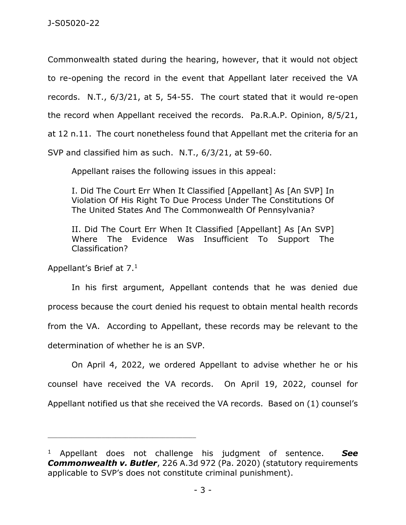Commonwealth stated during the hearing, however, that it would not object to re-opening the record in the event that Appellant later received the VA records. N.T., 6/3/21, at 5, 54-55. The court stated that it would re-open the record when Appellant received the records. Pa.R.A.P. Opinion, 8/5/21, at 12 n.11. The court nonetheless found that Appellant met the criteria for an SVP and classified him as such. N.T., 6/3/21, at 59-60.

Appellant raises the following issues in this appeal:

I. Did The Court Err When It Classified [Appellant] As [An SVP] In Violation Of His Right To Due Process Under The Constitutions Of The United States And The Commonwealth Of Pennsylvania?

II. Did The Court Err When It Classified [Appellant] As [An SVP] Where The Evidence Was Insufficient To Support The Classification?

Appellant's Brief at 7.<sup>1</sup>

\_\_\_\_\_\_\_\_\_\_\_\_\_\_\_\_\_\_\_\_\_\_\_\_\_\_\_\_\_\_\_\_\_\_\_\_\_\_\_\_\_\_\_\_

In his first argument, Appellant contends that he was denied due process because the court denied his request to obtain mental health records from the VA. According to Appellant, these records may be relevant to the determination of whether he is an SVP.

On April 4, 2022, we ordered Appellant to advise whether he or his counsel have received the VA records. On April 19, 2022, counsel for Appellant notified us that she received the VA records. Based on (1) counsel's

<sup>1</sup> Appellant does not challenge his judgment of sentence. *See Commonwealth v. Butler*, 226 A.3d 972 (Pa. 2020) (statutory requirements applicable to SVP's does not constitute criminal punishment).